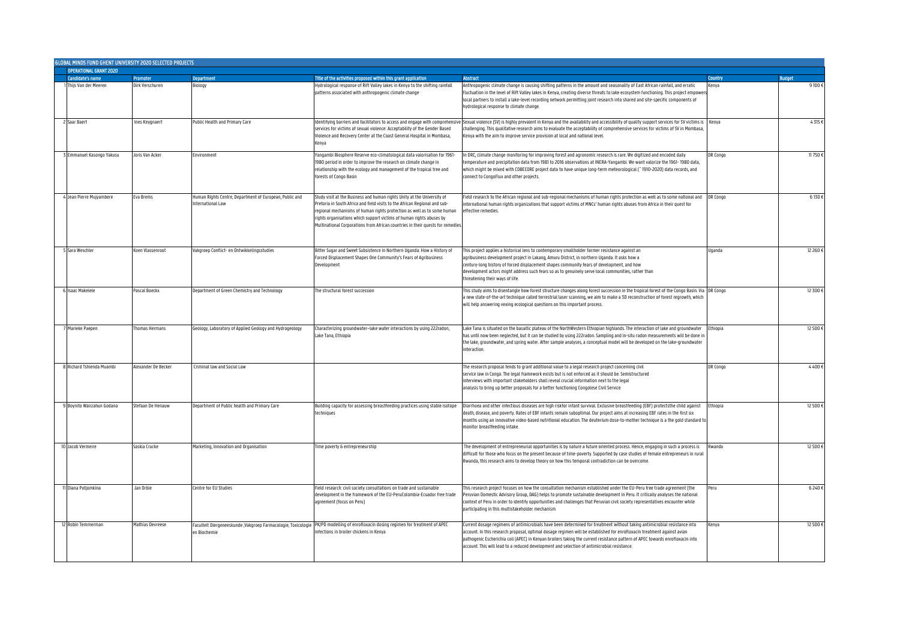|  | GLOBAL MINDS FUND GHENT UNIVERSITY 2020 SELECTED PROJECTS |                     |                                                                               |                                                                                                                                                                                                                                                                                                                                                                                            |                                                                                                                                                                                                                                                                                                                                                                                                                                                                                      |                 |                 |  |
|--|-----------------------------------------------------------|---------------------|-------------------------------------------------------------------------------|--------------------------------------------------------------------------------------------------------------------------------------------------------------------------------------------------------------------------------------------------------------------------------------------------------------------------------------------------------------------------------------------|--------------------------------------------------------------------------------------------------------------------------------------------------------------------------------------------------------------------------------------------------------------------------------------------------------------------------------------------------------------------------------------------------------------------------------------------------------------------------------------|-----------------|-----------------|--|
|  |                                                           |                     |                                                                               |                                                                                                                                                                                                                                                                                                                                                                                            |                                                                                                                                                                                                                                                                                                                                                                                                                                                                                      |                 |                 |  |
|  | <b>Candidate's name</b>                                   | <b>Promoter</b>     | <b>Department</b>                                                             | Title of the activities proposed within this grant application                                                                                                                                                                                                                                                                                                                             | <b>Abstract</b>                                                                                                                                                                                                                                                                                                                                                                                                                                                                      | Country         | <b>Budget</b>   |  |
|  | Thijs Van der Meeren                                      | Dirk Verschuren     | <b>Biology</b>                                                                | Hydrological response of Rift Valley lakes in Kenya to the shifting rainfall<br>patterns associated with anthropogenic climate change                                                                                                                                                                                                                                                      | Anthropogenic climate change is causing shifting patterns in the amount and seasonality of East African rainfall, and erratic<br>fluctuation in the level of Rift Valley lakes in Kenya, creating diverse threats to lake ecosystem functioning. This project empowe<br>local partners to install a lake-level recording network permitting joint research into shared and site-specific components of<br>hydrological response to climate change.                                   | Kenya           | $9100 \text{ }$ |  |
|  | Saar Baert                                                | Ines Keygnaert      | Public Health and Primary Care                                                | dentifying barriers and facilitators to access and engage with comprehensi<br>services for victims of sexual violence: Acceptability of the Gender Based<br>Violence and Recovery Center at the Coast General Hospital in Mombasa,<br>Kenva                                                                                                                                                | Sexual violence (SV) is highly prevalent in Kenya and the availability and accessibility of quality support services for SV victims is<br>challenging. This qualitative research aims to evaluate the acceptability of comprehensive services for victims of SV in Mombasa,<br>Kenya with the aim to improve service provision at local and national level.                                                                                                                          | Kenya           | 4315f           |  |
|  | Emmanuel Kasongo Yakusu                                   | Joris Van Acker     | Environment                                                                   | Yangambi Biosphere Reserve eco-climatological data valorisation for 1961-<br>1980 period in order to improve the research on climate change in<br>relationship with the ecology and management of the tropical tree and<br>forests of Congo Basin                                                                                                                                          | In DRC, climate change monitoring for improving forest and agronomic research is rare. We digitized and encoded daily<br>temperature and precipitation data from 1981 to 2016 observations at INERA-Yangambi. We want valorize the 1961-1980 data,<br>which might be mixed with COBECORE project data to have unique long-term meteorological ("1910-2020) data records, and<br>connect to CongoFlux and other projects.                                                             | DR Congo        | 11750€          |  |
|  | Jean Pierre Mujyambere                                    | Eva Brems           | Human Rights Centre, Department of European, Public and<br>nternational Law   | Study visit at the Business and human rights Unity at the University of<br>Pretoria in South Africa and field visits to the African Regional and sub-<br>regional mechanisms of human rights protection as well as to some human<br>rights organisations which support victims of human rights abuses by<br>Multinational Corporations from African countries in their quests for remedie: | Field research to the African regional and sub-regional mechanisms of human rights protection as well as to some national and<br>international human rights organizations that support victims of MNCs' human rights abuses from Africa in their quest for<br>effective remedies.                                                                                                                                                                                                    | <b>DR</b> Congo | 6130€           |  |
|  | Sara Weschler                                             | Koen Vlassenroot    | Vakgroep Conflict- en Ontwikkelingsstudies                                    | Bitter Sugar and Sweet Subsistence in Northern Uganda: How a History of<br>Forced Displacement Shapes One Community's Fears of Agribusiness<br>Development                                                                                                                                                                                                                                 | This project applies a historical lens to contemporary smallholder farmer resistance against an<br>agribusiness development project in Lakang, Amuru District, in northern Uganda. It asks how a<br>century-long history of forced displacement shapes community fears of development, and how<br>evelopment actors might address such fears so as to genuinely serve local communities, rather than<br>hreatening their ways of life.                                               | Uganda          | 12 260 €        |  |
|  | 6 Isaac Makelele                                          | Pascal Boeckx       | Department of Green Chemistry and Technology                                  | The structural forest succession                                                                                                                                                                                                                                                                                                                                                           | This study aims to disentangle how forest structure changes along forest succession in the tropical forest of the Congo Basin. Via DR Congo<br>anew state-of-the-art technique called terrestrial laser scanning, we aim to make a 3D reconstruction of forest regrowth, which<br>will help answering vexing ecological questions on this important process.                                                                                                                         |                 | 12 300€         |  |
|  | Marieke Paepen                                            | Thomas Hermans      | Geology, Laboratory of Applied Geology and Hydrogeology                       | Characterizing groundwater-lake water interactions by using 222radon,<br>Lake Tana, Ethiopia                                                                                                                                                                                                                                                                                               | Lake Tana is situated on the basaltic plateau of the NorthWestern Ethiopian highlands. The interaction of lake and groundwater<br>has until now been neglected, but it can be studied by using 222radon. Sampling and in-situ radon measurements will be done ir<br>the lake, groundwater, and spring water. After sample analyses, a conceptual model will be developed on the lake-groundwater<br>interaction.                                                                     | Ethiopia        | 12 500€         |  |
|  | Richard Tshienda Muambi                                   | Alexander De Becker | Criminal law and Social Law                                                   |                                                                                                                                                                                                                                                                                                                                                                                            | The research proposal tends to grant additional value to a legal research project concerning civil<br>service law in Congo. The legal framework exists but is not enforced as it should be. Semistructured<br>interviews with important stakeholders shall reveal crucial information next to the legal<br>analysis to bring up better proposals for a better functioning Congolese Civil Service.                                                                                   | DR Congo        | 4400€           |  |
|  | Boynito Wanzahun Godana                                   | Stefaan De Henauw   | Department of Public health and Primary Care                                  | Building capacity for assessing breastfeeding practices using stable isotope<br>techniques                                                                                                                                                                                                                                                                                                 | Diarrhoea and other infectious diseases are high riskfor infant survival. Exclusive breastfeeding (EBF) protectsthe child against<br>death, disease, and poverty. Rates of EBF infants remain suboptimal. Our project aims at increasing EBF rates in the first six<br>months using an innovative video-based nutritional education. The deuterium dose-to-mother technique is a the gold standard to<br>monitor breastfeeding intake.                                               | Fthionia        | 12 500 €        |  |
|  | 10 Jacob Vermeire                                         | Saskia Crucke       | Marketing, Innovation and Organisation                                        | Time poverty & entrepreneurship                                                                                                                                                                                                                                                                                                                                                            | The development of entrepreneurial opportunities is by nature a future oriented process. Hence, engaging in such a process is<br>difficult for those who focus on the present because of time-poverty. Supported by case studies of female entrepreneurs in rural<br>Rwanda, this research aims to develop theory on how this temporal contradiction can be overcome.                                                                                                                | Rwanda          | 12 500€         |  |
|  | 1 Diana Potjomkina                                        | Jan Orbie           | Centre for EU Studies                                                         | Field research: civil society consultations on trade and sustainable<br>development in the framework of the EU-PeruColombia-Ecuador free trade<br>agreement (focus on Peru)                                                                                                                                                                                                                | This research project focuses on how the consultation mechanism established under the EU-Peru free trade agreement (the<br>Peruvian Domestic Advisory Group, DAG) helps to promote sustainable development in Peru. It critically analyses the national<br>context of Peru in order to identify opportunities and challenges that Peruvian civil society representatives encounter while<br>participating in this multistakeholder mechanism                                         | Peru            | 6240€           |  |
|  | 12 Robin Temmerman                                        | Mathias Devreese    | Faculteit Diergeneeskunde ;Vakgroep Farmacologie, Toxicologie<br>en Biochemie | PK/PD modelling of enrofloxacin dosing regimen for treatment of APEC<br>nfections in broiler chickens in Kenya                                                                                                                                                                                                                                                                             | Current dosage regimens of antimicrobials have been determined for treatment without taking antimicrobial resistance into<br>account. In this research proposal, optimal dosage regimen will be established for enrofloxacin treatment against avian<br>pathogenic Escherichia coli (APEC) in Kenyan broilers taking the current resistance pattern of APEC towards enrofloxacin into<br>account. This will lead to a reduced development and selection of antimicrobial resistance. | Kenya           | 12 500 €        |  |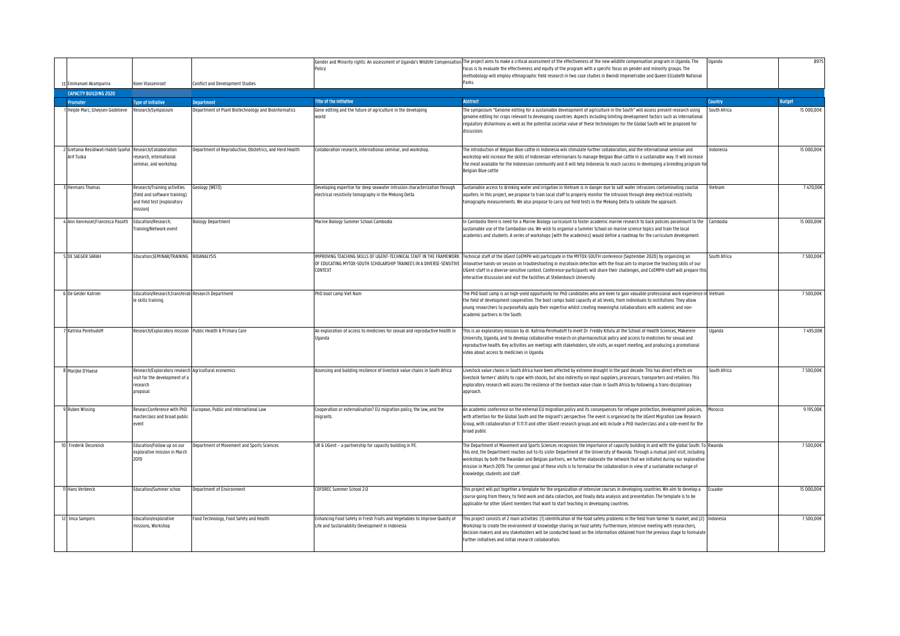|                                                                          |                                                                                                         |                                                         |                                                                                                                                    | Gender and Minority rights: An assessment of Uganda's Wildlife Compensation The project aims to make a critical assessment of the effectiveness of the new wildlife compensation program in Uganda. The                                                                                                                                                                                                                                                                                                                                                                                                              | Uganda         | 8975          |
|--------------------------------------------------------------------------|---------------------------------------------------------------------------------------------------------|---------------------------------------------------------|------------------------------------------------------------------------------------------------------------------------------------|----------------------------------------------------------------------------------------------------------------------------------------------------------------------------------------------------------------------------------------------------------------------------------------------------------------------------------------------------------------------------------------------------------------------------------------------------------------------------------------------------------------------------------------------------------------------------------------------------------------------|----------------|---------------|
|                                                                          |                                                                                                         |                                                         | Policy                                                                                                                             | focus is to evaluate the effectiveness and equity of the program with a specific focus on gender and minority groups. The<br>methodology will employ ethnographic field research in two case studies in Bwindi Impenetrable and Queen Elizabeth National                                                                                                                                                                                                                                                                                                                                                             |                |               |
| 13 Emmanuel Akampurira                                                   | oen Vlassenroot                                                                                         | Conflict and Development Studies                        |                                                                                                                                    | Parks                                                                                                                                                                                                                                                                                                                                                                                                                                                                                                                                                                                                                |                |               |
| <b>CAPACITY BUILDING 2020</b>                                            |                                                                                                         |                                                         |                                                                                                                                    |                                                                                                                                                                                                                                                                                                                                                                                                                                                                                                                                                                                                                      |                |               |
| <b>Promoter</b>                                                          | <b>Type of Initiative</b>                                                                               | <b>Department</b>                                       | <b>Title of the Initiative</b>                                                                                                     | <b>Abstract</b>                                                                                                                                                                                                                                                                                                                                                                                                                                                                                                                                                                                                      | <b>Country</b> | <b>Budget</b> |
| Heijde Marc; Gheysen Godelieve                                           | Research/Symposium                                                                                      | Department of Plant Biotechnology and Bioinformatics    | Gene editing and the future of agriculture in the developing<br>hinw                                                               | The symposium "Genome editing for a sustainable development of agriculture in the South" will assess present research using<br>genome editing for crops relevant to developing countries. Aspects including limiting development factors such as international<br>regulatory disharmony as well as the potential societal value of these technologies for the Global South will be proposed for<br>discussion.                                                                                                                                                                                                       | South Africa   | 15 000,00€    |
| 2 Gretania Residiwati Habib Syaiful Research/Collaboration<br>Arif Tuska | esearch, international<br>eminar, and workshop.                                                         | Department of Reproduction, Obstetrics, and Herd Health | Collaboration research, international seminar, and workshop.                                                                       | The introduction of Belgian Blue cattle in Indonesia will stimulate further collaboration, and the international seminar and<br>workshop will increase the skills of Indonesian veterinarians to manage Belgian Blue cattle in a sustainable way. It will increase<br>the meat available for the Indonesian community and it will help Indonesia to reach success in developing a breeding program f<br>Belgian Blue cattle                                                                                                                                                                                          | Indonesia      | 15 000,00€    |
| <b>Hermans Thomas</b>                                                    | Research/Training activities<br>field and software training)<br>and field test (exploratory<br>nission) | ieology (WE13)                                          | Developing expertise for deep seawater intrusion characterization through<br>electrical resistivity tomography in the Mekong Delta | Sustainable access to drinking water and irrigation in Vietnam is in danger due to salt water intrusions contaminating coastal<br>aquifers. In this project, we propose to train local staff to properly monitor the intrusion through deep electrical resistivity<br>tomography measurements. We also propose to carry out field tests in the Mekong Delta to validate the approach.                                                                                                                                                                                                                                | Vietnam        | 7470,00€      |
| 4 Ann Vanreusel;Francesca Pasotti                                        | Education/Research;<br>raining/Network event                                                            | Biology Department                                      | Marine Biology Summer School Cambodia                                                                                              | In Cambodia there is need for a Marine Biology curriculum to foster academic marine research to back policies paramount to the<br>sustainable use of the Cambodian sea. We wish to organise a Summer School on marine science topics and train the local<br>academics and students. A series of workshops (with the academics) would define a roadmap for the curriculum development.                                                                                                                                                                                                                                | Cambodia       | 15 000,00€    |
| <b>5 DE SAEGER SARAH</b>                                                 | ducation:SEMINAR/TRAINING BIOANALYSIS                                                                   |                                                         | CONTEXT                                                                                                                            | IMPROVING TEACHING SKILLS OF UGENT-TECHNICAL STAFF IN THE FRAMEWORK Technical staff of the UGent CoEMPH will participate in the MYTOX-SOUTH conference (September 2020) by organizing an<br>OF EDUCATING MYTOX-SOUTH SCHOLARSHIP TRAINEES IN A DIVERSE-SENSITIVE  innovative hands-on session on troubleshooting in mycotoxin detection with the final aim to improve the teaching skills of our<br>UGent-staff in a diverse-sensitive context. Conference-participants will share their challenges, and CoEMPH-staff will prepare th<br>interactive discussion and visit the facilities at Stellenbosch University. | South Africa   | 7500,00€      |
| 6 De Gelder Katrien                                                      | ducation/Research;transferab<br>e skills training                                                       | <b>Research Department</b>                              | PhD boot camp Viet Nam                                                                                                             | The PhD boot camp is an high-yield opportunity for PhD candidates who are keen to gain valuable professional work experience in Vietnam<br>the field of development cooperation. The boot camps build capacity at all levels, from individuals to institutions. They allow<br>young researchers to purposefully apply their expertise whilst creating meaningful collaborations with academic and non-<br>academic partners in the South.                                                                                                                                                                            |                | 7500,00€      |
| Katrina Perehudoff                                                       | Research/Exploratory mission                                                                            | Public Health & Primary Care                            | An exploration of access to medicines for sexual and reproductive health in<br>Uganda                                              | This is an exploratory mission by dr. Katrina Perehudoff to meet Dr. Freddy Kitutu at the School of Health Sciences, Makerere<br>University, Uganda, and to develop collaborative research on pharmaceutical policy and access to medicines for sexual and<br>reproductive health. Key activities are meetings with stakeholders, site visits, an expert meeting, and producing a promotional<br>video about access to medicines in Uganda.                                                                                                                                                                          | Uganda         | 7495,00€      |
| Marijke D'Haese                                                          | Research/Exploratory research<br>visit for the development of a<br>research<br>roposal                  | Agricultural economics                                  | Assessing and building resilience of livestock value chains in South Africa                                                        | Livestock value chains in South Africa have been affected by extreme drought in the past decade. This has direct effects on<br>livestock farmers' ability to cope with shocks, but also indirectly on input suppliers, processors, transporters and retailers. This<br>exploratory research will assess the resilience of the livestock value chain in South Africa by following a trans-disciplinary<br>approach.                                                                                                                                                                                                   | South Africa   | 7500,00€      |
| 9 Ruben Wissing                                                          | ResearcConference with PhD<br>nasterclass and broad public<br>vent                                      | European, Public and International Law                  | Cooperation or externalisation? EU migration policy, the law, and the<br>nigrants.                                                 | An academic conference on the external EU migration policy and its consequences for refugee protection, development policies,<br>with attention for the Global South and the migrant's perspective. The event is organised by the UGent Migration Law Research<br>Group, with collaboration of 11.11.11 and other UGent research groups and will include a PhD masterclass and a side-event for the<br>broad public                                                                                                                                                                                                  | Morocco        | 9 195,00€     |
| 10 Frederik Deconinck                                                    | ducation/Follow up on our<br>xplorative mission in March<br>2019                                        | Department of Movement and Sports Sciences              | UR & UGent - a partnership for capacity building in PE.                                                                            | The Department of Movement and Sports Sciences recognises the importance of capacity building in and with the global South. To Rwanda<br>this end, the Department reaches out to its sister Department at the University of Rwanda. Through a mutual joint visit, including<br>workshops by both the Rwandan and Belgian partners, we further elaborate the network that we initiated during our explorative<br>mission in March 2019. The common goal of these visits is to formalise the collaboration in view of a sustainable exchange of<br>knowledge, students and staff.                                      |                | 7500.00€      |
| Hans Verbeeck                                                            | ducation/Summer schoo                                                                                   | Department of Environment                               | COFOREC Summer School 2.0                                                                                                          | This project will put together a template for the organization of intensive courses in developing countries. We aim to develop a<br>course going from theory, to field work and data collection, and finally data analysis and presentation. The template is to be<br>applicable for other UGent members that want to start teaching in developing countries.                                                                                                                                                                                                                                                        | Ecuador        | 15 000,00€    |
| Imca Sampers                                                             | Education/explorative<br>nissions, Workshop                                                             | Food Technology, Food Safety and Health                 | Enhancing Food Safety in Fresh Fruits and Vegetables to Improve Quality of<br>Life and Sustainability Development in Indonesia     | This project consists of 2 main activities: (1) identification of the food safety problems in the field from farmer to market; and (2) Indonesia<br>Workshop to create the environment of knowledge sharing on food safety. Furthermore, intensive meeting with researchers,<br>decision makers and any stakeholders will be conducted based on the information obtained from the previous stage to formulate<br>further initiatives and initial research collaboration.                                                                                                                                             |                | 7500,00€      |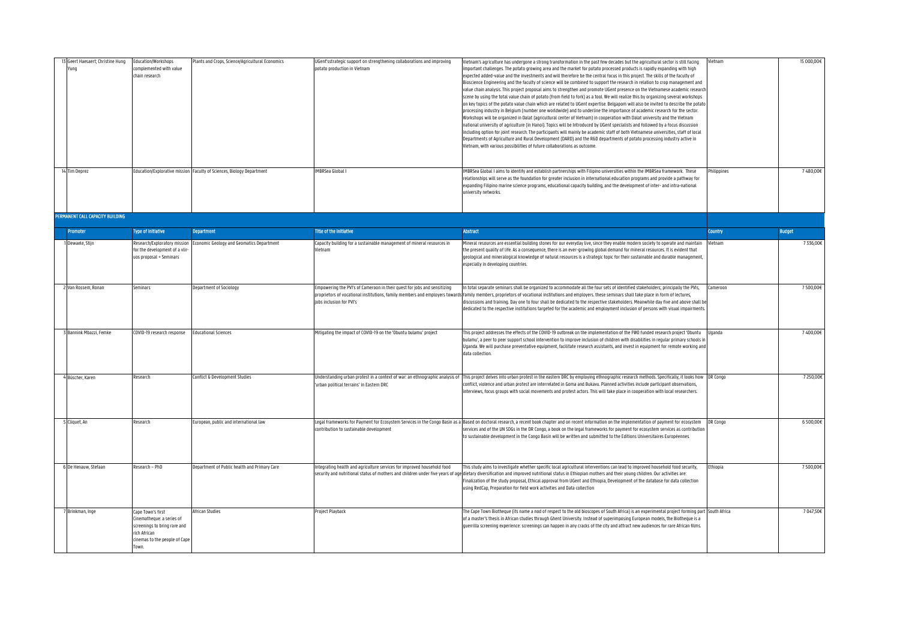| Geert Haesaert; Christine Hung<br>/unq<br>14 Tim Deprez | Education/Workshops<br>omplemented with value<br>hain research                                                                      | Plants and Crops, Science/Agricultural Economics<br>Education/Explorative mission Faculty of Sciences, Biology Department | JGent'sstrategic support on strengthening collaborations and improving<br>ootato production in Vietnam<br><b>IMBRSea Global I</b> | Vietnam's agriculture has undergone a strong transformation in the past few decades but the agricultural sector is still facing<br>important challenges. The potato growing area and the market for potato processed products is rapidly expanding with high<br>expected added-value and the investments and will therefore be the central focus in this project. The skills of the faculty of<br>Bioscience Engineering and the faculty of science will be combined to support the research in relation to crop management and<br>value chain analysis. This project proposal aims to strengthen and promote UGent presence on the Vietnamese academic researcl<br>scene by using the total value chain of potato (from field to fork) as a tool. We will realize this by organizing several workshops<br>on key topics of the potato value chain which are related to UGent expertise. Belgapom will also be invited to describe the potat<br>processing industry in Belgium (number one worldwide) and to underline the importance of academic research for the sector.<br>Workshops will be organized in Dalat (agricultural center of Vietnam) in cooperation with Dalat university and the Vietnam<br>national university of agriculture (in Hanoi). Topics will be Introduced by UGent specialists and followed by a focus discussion<br>including option for joint research. The participants will mainly be academic staff of both Vietnamese universities, staff of local<br>Departments of Agriculture and Rural Development (DARD) and the R&D departments of potato processing industry active in<br>Vietnam, with various possibilities of future collaborations as outcome.<br>MBRSea Global I aims to identify and establish partnerships with Filipino universities within the IMBRSea framework. These | Vietnam<br>hilippines | 15 000,00€<br>7480,00€ |
|---------------------------------------------------------|-------------------------------------------------------------------------------------------------------------------------------------|---------------------------------------------------------------------------------------------------------------------------|-----------------------------------------------------------------------------------------------------------------------------------|--------------------------------------------------------------------------------------------------------------------------------------------------------------------------------------------------------------------------------------------------------------------------------------------------------------------------------------------------------------------------------------------------------------------------------------------------------------------------------------------------------------------------------------------------------------------------------------------------------------------------------------------------------------------------------------------------------------------------------------------------------------------------------------------------------------------------------------------------------------------------------------------------------------------------------------------------------------------------------------------------------------------------------------------------------------------------------------------------------------------------------------------------------------------------------------------------------------------------------------------------------------------------------------------------------------------------------------------------------------------------------------------------------------------------------------------------------------------------------------------------------------------------------------------------------------------------------------------------------------------------------------------------------------------------------------------------------------------------------------------------------------------------------------------------------------------------|-----------------------|------------------------|
|                                                         |                                                                                                                                     |                                                                                                                           |                                                                                                                                   | relationships will serve as the foundation for greater inclusion in international education programs and provide a pathway for<br>expanding Filipino marine science programs, educational capacity building, and the development of inter- and intra-national<br>university networks.                                                                                                                                                                                                                                                                                                                                                                                                                                                                                                                                                                                                                                                                                                                                                                                                                                                                                                                                                                                                                                                                                                                                                                                                                                                                                                                                                                                                                                                                                                                                    |                       |                        |
| PERMANENT CALL CAPACITY BUILDING                        |                                                                                                                                     |                                                                                                                           |                                                                                                                                   |                                                                                                                                                                                                                                                                                                                                                                                                                                                                                                                                                                                                                                                                                                                                                                                                                                                                                                                                                                                                                                                                                                                                                                                                                                                                                                                                                                                                                                                                                                                                                                                                                                                                                                                                                                                                                          |                       |                        |
| <b>Promoter</b>                                         | <b>Type of Initiative</b>                                                                                                           | <b>Department</b>                                                                                                         | Title of the initiative                                                                                                           | <b>Abstract</b>                                                                                                                                                                                                                                                                                                                                                                                                                                                                                                                                                                                                                                                                                                                                                                                                                                                                                                                                                                                                                                                                                                                                                                                                                                                                                                                                                                                                                                                                                                                                                                                                                                                                                                                                                                                                          | <b>Country</b>        | <b>Budget</b>          |
| Dewaele, Stijn                                          | Research/Exploratory mission<br>or the development of a vlir-<br>uos proposal + Seminars                                            | Economic Geology and Geomatics Department                                                                                 | Capacity building for a sustainable management of mineral resources in<br>'ietnam                                                 | Mineral resources are essential building stones for our everyday live, since they enable modern society to operate and maintain<br>the present quality of life. As a consequence, there is an ever-growing global demand for mineral resources. It is evident that<br>geological and mineralogical knowledge of natural resources is a strategic topic for their sustainable and durable management,<br>especially in developing countries.                                                                                                                                                                                                                                                                                                                                                                                                                                                                                                                                                                                                                                                                                                                                                                                                                                                                                                                                                                                                                                                                                                                                                                                                                                                                                                                                                                              | Vietnam               | 7336,00€               |
| Van Rossem, Ronan                                       | Seminars                                                                                                                            | Department of Sociology                                                                                                   | Empowering the PVI's of Cameroon in their quest for jobs and sensitizing<br>jobs inclusion for PVI's                              | In total separate seminars shall be organized to accommodate all the four sets of identified stakeholders; principally the PVIs,<br>proprietors of vocational institutions, family members and employers towards family members, proprietors of vocational institutions and employers. these seminars shall take place in form of lectures,<br>discussions and training. Day one to four shall be dedicated to the respective stakeholders. Meanwhile day five and above shall b<br>dedicated to the respective institutions targeted for the academic and employment inclusion of persons with visual impairment                                                                                                                                                                                                                                                                                                                                                                                                                                                                                                                                                                                                                                                                                                                                                                                                                                                                                                                                                                                                                                                                                                                                                                                                        | Cameroon              | 7500,00€               |
| Bannink Mbazzi, Femke                                   | COVID-19 research response                                                                                                          | <b>Educational Sciences</b>                                                                                               | Mitigating the impact of COVID-19 on the 'Obuntu bulamu' project                                                                  | This project addresses the effects of the COVID-19 outbreak on the implementation of the FWO funded research project 'Obuntu<br>bulamu', a peer to peer support school intervention to improve inclusion of children with disabilities in reqular primary schools ir<br>Uganda. We will purchase preventative equipment, facilitate research assistants, and invest in equipment for remote working an<br>data collection                                                                                                                                                                                                                                                                                                                                                                                                                                                                                                                                                                                                                                                                                                                                                                                                                                                                                                                                                                                                                                                                                                                                                                                                                                                                                                                                                                                                | Uganda                | 7400,00€               |
| Büscher, Karen                                          | Research                                                                                                                            | Conflict & Development Studies                                                                                            | 'urban political terrains' in Eastern DRC                                                                                         | Understanding urban protest in a context of war: an ethnographic analysis of This project delves into urban protest in the eastern DRC by employing ethnographic research methods. Specifically, it looks how DR Congo<br>conflict, violence and urban protest are interrelated in Goma and Bukavu. Planned activities include participant observations,<br>interviews, focus groups with social movements and protest actors. This will take place in cooperation with local researchers.                                                                                                                                                                                                                                                                                                                                                                                                                                                                                                                                                                                                                                                                                                                                                                                                                                                                                                                                                                                                                                                                                                                                                                                                                                                                                                                               |                       | 7250,00€               |
| Cliquet, An                                             | Research                                                                                                                            | European, public and international law                                                                                    | contribution to sustainable development                                                                                           | Legal frameworks for Payment for Ecosystem Services in the Congo Basin as a Based on doctoral research, a recent book chapter and on recent information on the implementation of payment for ecosystem<br>services and of the UN SDGs in the DR Congo, a book on the legal frameworks for payment for ecosystem services as contributior<br>to sustainable development in the Congo Basin will be written and submitted to the Editions Universitaires Européennes.                                                                                                                                                                                                                                                                                                                                                                                                                                                                                                                                                                                                                                                                                                                                                                                                                                                                                                                                                                                                                                                                                                                                                                                                                                                                                                                                                      | DR Congo              | 6500,00€               |
| De Henauw, Stefaan                                      | Research – PhD                                                                                                                      | Department of Public health and Primary Care                                                                              | Integrating health and agriculture services for improved household food                                                           | This study aims to investigate whether specific local agricultural interventions can lead to improved household food security,<br>iecurity and nutritional status of mothers and children under five years of age dietary diversification and improved nutritional status in Ethiopian mothers and their young children. Our activities are:<br>Finalization of the study proposal, Ethical approval from UGent and Ethiopia, Development of the database for data collection<br>using RedCap, Preparation for field work activities and Data collection                                                                                                                                                                                                                                                                                                                                                                                                                                                                                                                                                                                                                                                                                                                                                                                                                                                                                                                                                                                                                                                                                                                                                                                                                                                                 | thiopia               | 7500,00€               |
| Brinkman, Inge                                          | Cape Town's first<br>inematheque: a series of<br>creenings to bring rare and<br>ich African<br>inemas to the people of Cape<br>Town | African Studies                                                                                                           | Project Playback                                                                                                                  | The Cape Town Biotheque (its name a nod of respect to the old bioscopes of South Africa) is an experimental project forming part South Africa<br>of a master's thesis in African studies through Ghent University. Instead of superimposing European models, the Biotheque is a<br>guerrilla screening experience: screenings can happen in any cracks of the city and attract new audiences for rare African films.                                                                                                                                                                                                                                                                                                                                                                                                                                                                                                                                                                                                                                                                                                                                                                                                                                                                                                                                                                                                                                                                                                                                                                                                                                                                                                                                                                                                     |                       | 7 047,50€              |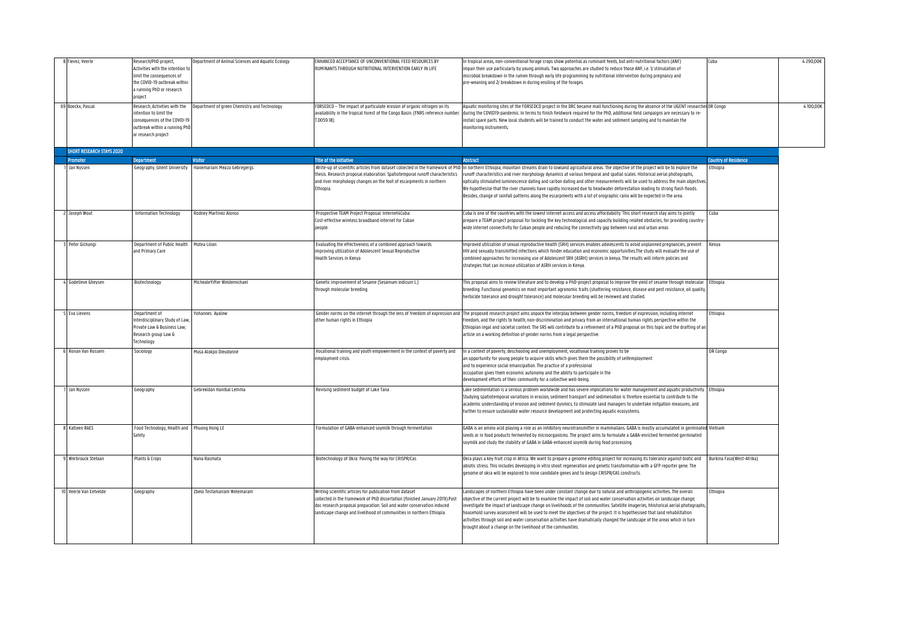| Fievez, Veerle                   | Research/PhD project,<br>Activities with the intention to<br>limit the consequences of<br>the COVID-19 outbreak within<br>a running PhD or research<br>project | Department of Animal Sciences and Aquatic Ecology | ENHANCED ACCEPTANCE OF UNCONVENTIONAL FEED RESOURCES BY<br><b>RUMINANTS THROUGH NUTRITIONAL INTERVENTION EARLY IN LIFE</b>                                                                                                                                                                | In tropical areas, non-conventional forage crops show potential as ruminant feeds, but anti-nutritional factors (ANF)<br>impair their use particularly by young animals. Two approaches are studied to reduce those ANF, i.e. 1/ stimulation of<br>microbial breakdown in the rumen through early life programming by nutritional intervention during pregnancy and<br>pre-weaning and 2/ breakdown in during ensiling of the forages.                                                                                                                                                                                                                                                                                                    | Cuba                        | 4 290,00€ |
|----------------------------------|----------------------------------------------------------------------------------------------------------------------------------------------------------------|---------------------------------------------------|-------------------------------------------------------------------------------------------------------------------------------------------------------------------------------------------------------------------------------------------------------------------------------------------|-------------------------------------------------------------------------------------------------------------------------------------------------------------------------------------------------------------------------------------------------------------------------------------------------------------------------------------------------------------------------------------------------------------------------------------------------------------------------------------------------------------------------------------------------------------------------------------------------------------------------------------------------------------------------------------------------------------------------------------------|-----------------------------|-----------|
| 69 Boeckx, Pascal                | Research, Activities with the<br>intention to limit the<br>consequences of the COVID-19<br>outbreak within a running PhD<br>or research project                | Department of green Chemistry and Technology      | FORSEDCO - The impact of particulate erosion of organic nitrogen on its<br>availability in the tropical forest of the Congo Basin. (FNRS reference number<br>0059.18                                                                                                                      | Aquatic monitoring sites of the FORSEDCO project in the DRC became mall functioning during the absence of the UGENT researcher DR Congo<br>during the COVID19-pandemic. In terms to finish fieldwork required for the PhD, additional field campaigns are necessary to re-<br>install spare parts. New local students will be trained to conduct the water and sediment sampling and to maintain the<br>monitoring instruments.                                                                                                                                                                                                                                                                                                           |                             | 4100,00€  |
| <b>SHORT RESEARCH STAYS 2020</b> |                                                                                                                                                                |                                                   |                                                                                                                                                                                                                                                                                           |                                                                                                                                                                                                                                                                                                                                                                                                                                                                                                                                                                                                                                                                                                                                           |                             |           |
| Promoter                         | <b>Department</b>                                                                                                                                              | <b>Visitor</b>                                    | Title of the initiative                                                                                                                                                                                                                                                                   | <b>Abstract</b>                                                                                                                                                                                                                                                                                                                                                                                                                                                                                                                                                                                                                                                                                                                           | <b>Country of Residence</b> |           |
| Jan Nyssen                       | Geography, Ghent University                                                                                                                                    | Hailemariam Meaza Gebregergs                      | thesis. Research proposal elaboration: Spatiotemporal runoff characteristics<br>and river morphology changes on the foot of escarpments in northern<br>Ethiopia.                                                                                                                          | Write-up of scientific articles from dataset collected in the framework of PhD In northern Ethiopia, mountain streams drain to lowland agricultural areas. The objective of the project will be to explore the<br>runoff characteristics and river morphology dynamics at various temporal and spatial scales. Historical aerial photographs,<br>optically stimulated luminescence dating and carbon dating and other measurements will be used to address the main objectives<br>We hypothesise that the river channels have rapidly increased due to headwater deforestation leading to strong flash floods.<br>Besides, change of rainfall patterns along the escarpments with a lot of orographic rains will be expected in the area. | Ethiopia                    |           |
| 2 Joseph Wout                    | Information Technology                                                                                                                                         | Rodney Martinez Alonso                            | Prospective TEAM Project Proposal: Internet4Cuba:<br>Cost-effective wireless broadband internet for Cuban<br>people.                                                                                                                                                                      | Cuba is one of the countries with the lowest internet access and access affordability. This short research stay aims to jointly<br>prepare a TEAM project proposal for tackling the key technological and capacity building related obstacles, for providing country<br>wide internet connectivity for Cuban people and reducing the connectivity gap between rural and urban areas                                                                                                                                                                                                                                                                                                                                                       | Cuba                        |           |
| Peter Gichangi                   | Department of Public Health<br>and Primary Care                                                                                                                | Mutea Lilian                                      | Evaluating the effectiveness of a combined approach towards<br>improving utilization of Adolescent Sexual Reproductive<br>Health Services in Kenya                                                                                                                                        | Improved utilization of sexual reproductive health (SRH) services enables adolescents to avoid unplanned pregnancies, prevent<br>HIV and sexually transmitted infections which hinder education and economic opportunities. The study will evaluate the use of<br>combined approaches for increasing use of Adolescent SRH (ASRH) services in kenya. The results will inform policies and<br>strategies that can increase utilization of ASRH services in Kenya.                                                                                                                                                                                                                                                                          | Kenya                       |           |
| 4 Godelieve Gheysen              | Biotechnology                                                                                                                                                  | MichealeYifter Weldemichael                       | Genetic improvement of Sesame (Sesamum indicum L.)<br>through molecular breeding                                                                                                                                                                                                          | This proposal aims to review literature and to develop a PhD-project proposal to improve the yield of sesame through molecular<br>breeding. Functional genomics on most important agronomic traits (shattering resistance, disease and pest resistance, oil quality,<br>herbicide tolerance and drought tolerance) and molecular breeding will be reviewed and studied.                                                                                                                                                                                                                                                                                                                                                                   | Ethiopia                    |           |
| <b>5</b> Eva Lievens             | Department of<br>Interdisciplinary Study of Law<br>rivate Law & Business Law;<br>Research group Law &<br>Technology                                            | Yohannes Ayalew                                   | other human rights in Ethiopia                                                                                                                                                                                                                                                            | Gender norms on the internet through the lens of freedom of expression and The proposed research project aims unpack the interplay between gender norms, freedom of expression, including internet<br>freedom, and the rights to health, non-discrimination and privacy from an international human rights perspective within the<br>Ethiopian legal and societal context. The SRS will contribute to a refinement of a PhD proposal on this topic and the drafting of ar<br>article on a working definition of gender norms from a legal perspective.                                                                                                                                                                                    | Ethiopia                    |           |
| 6 Ronan Van Rossem               | Sociology                                                                                                                                                      | Musa Alokpo Dieudonné                             | Vocational training and youth empowerment in the context of poverty and<br>mployment crisis.                                                                                                                                                                                              | In a context of poverty, deschooling and unemployment, vocational training proves to be<br>an opportunity for young people to acquire skills which gives them the possibility of selfemployment<br>and to experience social emancipation. The practice of a professional<br>occupation gives them economic autonomy and the ability to participate in the<br>development efforts of their community for a collective well-being.                                                                                                                                                                                                                                                                                                          | DR Congo                    |           |
| Jan Nyssen                       | Geography                                                                                                                                                      | Sebrekidan Hanibal Lemma                          | Revising sediment budget of Lake Tana                                                                                                                                                                                                                                                     | Lake sedimentation is a serious problem worldwide and has severe implications for water management and aquatic productivity.   Ethiopia<br>Studying spatiotemporal variations in erosion, sediment transport and sedimenation is threfore essential to contribute to the<br>academic understanding of erosion and sediment dynmics, to stimulate land managers to undertake mitgation measures, and<br>further to ensure sustainable water resource development and protecting aquatic ecosystems.                                                                                                                                                                                                                                        |                             |           |
| 8 Katleen RAES                   | Food Technology, Health and Phuong Hong LE<br>Safety                                                                                                           |                                                   | Formulation of GABA-enhanced soymilk through fermentation                                                                                                                                                                                                                                 | GABA is an amino acid playing a role as an inhibitory neurotransmitter in mammalians. GABA is mostly accumulated in germinated Vietnam<br>seeds or in food products fermented by microorganisms. The project aims to formulate a GABA-enriched fermented germinated<br>soymilk and study the stability of GABA in GABA-enhanced soymilk during food processing.                                                                                                                                                                                                                                                                                                                                                                           |                             |           |
| Werbrouck Stefaan                | Plants & Crops                                                                                                                                                 | Nana Rasmata                                      | Biotechnology of Okra: Paving the way for CRISPR/Cas                                                                                                                                                                                                                                      | Okra plays a key fruit crop in Africa. We want to prepare a genome editing project for increasing its tolerance against biotic and<br>abiotic stress. This includes developing in vitro shoot regeneration and genetic transformation with a GFP reporter gene. The<br>genome of okra will be explored to mine candidate genes and to design CRISPR/CAS constructs.                                                                                                                                                                                                                                                                                                                                                                       | Burkina FasofWest-Afrika)   |           |
| 10 Veerle Van Eetvelde           | Geography                                                                                                                                                      | belo Tesfamariam Welemaram                        | Writing scientific articles for publication from dataset<br>collected in the framework of PhD dissertation (finished January 2019).Post<br>doc research proposal preparation: Soil and water conservation induced<br>landscape change and livelihood of communities in northern Ethiopia. | Landscapes of northern Ethiopia have been under constant change due to natural and anthropogenic activities. The overall<br>objective of the current project will be to examine the impact of soil and water conservation activities on landscape change;<br>investigate the impact of landscape change on livelihoods of the communities. Satellite imageries, hhistorical aerial photographs,<br>household survey assessment will be used to meet the objectives of the project. It is hypothesised that land rehabilitation<br>activities through soil and water conservation activities have dramatically changed the landscape of the areas which in turn<br>brought about a change on the livelihood of the communities.            | Ethiopia                    |           |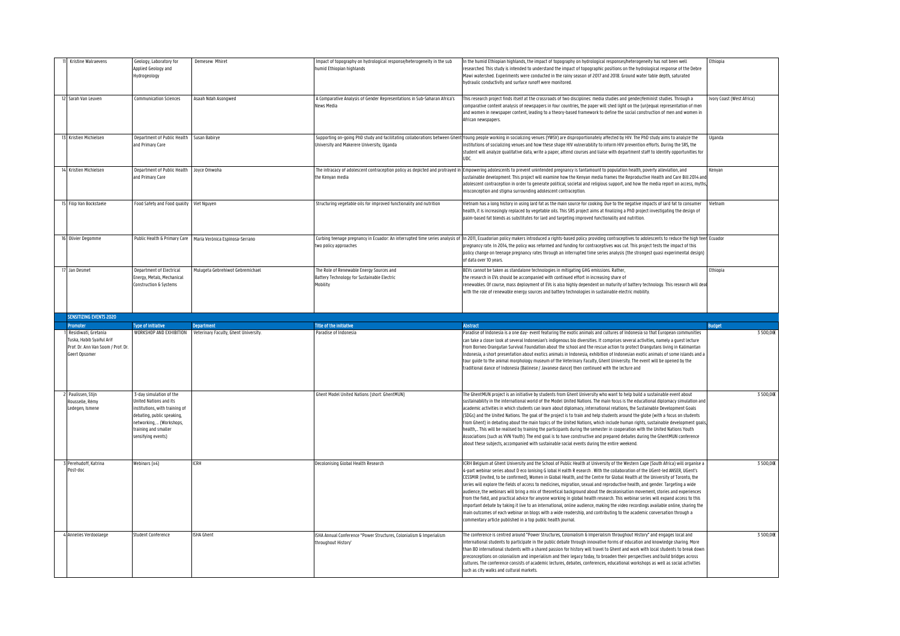| Kristine Walraevens                                                                                                  | Geology, Laboratory for<br>Applied Geology and<br>Hydrogeology                                                                                                                              | Demesew Mhiret                                                                     | mpact of topography on hydrological response/heterogeneity in the sub<br>humid Ethiopian highlands  | In the humid Ethiopian highlands, the impact of topography on hydrological responses/heterogeneity has not been well<br>researched. This study is intended to understand the impact of topographic positions on the hydrological response of the Debre<br>Mawi watershed. Experiments were conducted in the rainy season of 2017 and 2018. Ground water table depth, saturated<br>hydraulic conductivity and surface runoff were monitored.                                                                                                                                                                                                                                                                                                                                                                                                                                                                                                                                                                                                                                                                                                 | Ethiopia                  |
|----------------------------------------------------------------------------------------------------------------------|---------------------------------------------------------------------------------------------------------------------------------------------------------------------------------------------|------------------------------------------------------------------------------------|-----------------------------------------------------------------------------------------------------|---------------------------------------------------------------------------------------------------------------------------------------------------------------------------------------------------------------------------------------------------------------------------------------------------------------------------------------------------------------------------------------------------------------------------------------------------------------------------------------------------------------------------------------------------------------------------------------------------------------------------------------------------------------------------------------------------------------------------------------------------------------------------------------------------------------------------------------------------------------------------------------------------------------------------------------------------------------------------------------------------------------------------------------------------------------------------------------------------------------------------------------------|---------------------------|
| Sarah Van Leuven                                                                                                     | <b>Communication Sciences</b>                                                                                                                                                               | Asaah Ndah Asongwed                                                                | A Comparative Analysis of Gender Representations in Sub-Saharan Africa's<br>News Media              | This research project finds itself at the crossroads of two disciplines: media studies and gender/feminist studies. Through a<br>comparative content analysis of newspapers in four countries, the paper will shed light on the (un)equal representation of men<br>and women in newspaper content, leading to a theory-based framework to define the social construction of men and women in<br>African newspapers.                                                                                                                                                                                                                                                                                                                                                                                                                                                                                                                                                                                                                                                                                                                         | Ivory Coast (West Africa) |
| 13 Kristien Michielsen                                                                                               | Department of Public Health Susan Babirye<br>and Primary Care                                                                                                                               |                                                                                    | University and Makerere University, Uganda                                                          | Supporting on-going PhD study and facilitating collaborations between Ghent Young people working in socializing venues (YWSV) are disproportionately affected by HIV. The PhD study aims to analyze the<br>institutions of socializing venues and how these shape HIV vulnerability to inform HIV prevention efforts. During the SRS, the<br>student will analyze qualitative data, write a paper, attend courses and liaise with department staff to identify opportunities for<br>UDC.                                                                                                                                                                                                                                                                                                                                                                                                                                                                                                                                                                                                                                                    | Uganda                    |
| 14 Kristien Michielsen                                                                                               | Department of Public Health<br>and Primary Care                                                                                                                                             | Joyce Omwoha                                                                       | the Kenyan media                                                                                    | The intracacy of adolescent contraception policy as depicted and protrayed in Empowering adolescents to prevent unintended pregnancy is tantamount to population health, poverty alleviation, and<br>sustainable development. This project will examine how the Kenyan media frames the Reproductive Health and Care Bill 2014 an<br>adolescent contraception in order to generate political, societal and religious support, and how the media report on access, myth:<br>misconception and stigma surrounding adolescent contraception.                                                                                                                                                                                                                                                                                                                                                                                                                                                                                                                                                                                                   | Kenyan                    |
| 15 Filip Van Bockstaele                                                                                              | Food Safety and Food quality Viet Nguyen                                                                                                                                                    |                                                                                    | Structuring vegetable oils for improved functionality and nutrition                                 | Vietnam has a long history in using lard fat as the main source for cooking. Due to the negative impacts of lard fat to consumer<br>health, it is increasingly replaced by vegetable oils. This SRS project aims at finalizing a PhD project investigating the design of<br>palm-based fat blends as substitutes for lard and targeting improved functionality and nutrition.                                                                                                                                                                                                                                                                                                                                                                                                                                                                                                                                                                                                                                                                                                                                                               | Vietnam                   |
| 16 Olivier Degomme                                                                                                   |                                                                                                                                                                                             | Public Health & Primary Care   María Verónica Espinosa-Serrano                     | two policy approaches                                                                               | Curbing teenage pregnancy in Ecuador: An interrupted time series analysis of In 2011, Ecuadorian policy makers introduced a rights-based policy providing contraceptives to adolescents to reduce the high teen Ecuador<br>pregnancy rate. In 2014, the policy was reformed and funding for contraceptives was cut. This project tests the impact of this<br>policy change on teenage pregnancy rates through an interrupted time series analysis (the strongest quasi experimental design)<br>of data over 10 years.                                                                                                                                                                                                                                                                                                                                                                                                                                                                                                                                                                                                                       |                           |
| Jan Desmet                                                                                                           | Department of Electrical<br>Energy, Metals, Mechanical<br>Construction & Systems                                                                                                            | Mulugeta Gebrehiwot Gebremichael                                                   | The Role of Renewable Energy Sources and<br>Battery Technology for Sustainable Electric<br>Mobility | BEVs cannot be taken as standalone technologies in mitigating GHG emissions. Rather,<br>the research in EVs should be accompanied with continued effort in increasing share of<br>renewables. Of course, mass deployment of EVs is also highly dependent on maturity of battery technology. This research will dea<br>with the role of renewable energy sources and battery technologies in sustainable electric mobility.                                                                                                                                                                                                                                                                                                                                                                                                                                                                                                                                                                                                                                                                                                                  | Ethiopia                  |
|                                                                                                                      |                                                                                                                                                                                             |                                                                                    |                                                                                                     |                                                                                                                                                                                                                                                                                                                                                                                                                                                                                                                                                                                                                                                                                                                                                                                                                                                                                                                                                                                                                                                                                                                                             |                           |
| <b>SENSITIZING EVENTS 2020</b>                                                                                       |                                                                                                                                                                                             |                                                                                    |                                                                                                     |                                                                                                                                                                                                                                                                                                                                                                                                                                                                                                                                                                                                                                                                                                                                                                                                                                                                                                                                                                                                                                                                                                                                             |                           |
|                                                                                                                      |                                                                                                                                                                                             |                                                                                    |                                                                                                     |                                                                                                                                                                                                                                                                                                                                                                                                                                                                                                                                                                                                                                                                                                                                                                                                                                                                                                                                                                                                                                                                                                                                             |                           |
| Promoter<br>Residiwati, Gretania<br>Tuska, Habib Syaiful Arif<br>Prof. Dr. Ann Van Soom / Prof. Dr.<br>Geert Opsomer | <b>Type of Initiative</b>                                                                                                                                                                   | <b>Department</b><br>WORKSHOP AND EXHIBITION Veterinary Faculty, Ghent University. | Title of the initiative<br>Paradise of Indonesia                                                    | <b>Abstract</b><br>Paradise of Indonesia is a one day-event featuring the exotic animals and cultures of Indonesia so that European communities<br>can take a closer look at several Indonesian's indigenous bio diversities. It comprises several activities, namely a guest lecture<br>from Borneo Oranqutan Survival Foundation about the school and the rescue action to protect Oranqutans living in Kalimantan<br>Indonesia, a short presentation about exotics animals in Indonesia, exhibition of Indonesian exotic animals of some islands and a<br>tour guide to the animal morphology museum of the Veterinary Faculty, Ghent University. The event will be opened by the<br>traditional dance of Indonesia (Balinese / Javanese dance) then continued with the lecture and                                                                                                                                                                                                                                                                                                                                                      | <b>Budget</b><br>3500.00E |
| Paulissen, Stijn<br>Rousselle, Rémy<br>Ledegen, Ismene                                                               | 3-day simulation of the<br>United Nations and its<br>institutions, with training of<br>debating, public speaking,<br>networking,  (Workshops,<br>training and smaller<br>sensifying events) |                                                                                    | Ghent Model United Nations (short: GhentMUN)                                                        | The GhentMUN project is an initiative by students from Ghent University who want to help build a sustainable event about<br>sustainability in the international world of the Model United Nations. The main focus is the educational diplomacy simulation and<br>academic activities in which students can learn about diplomacy, international relations, the Sustainable Development Goals<br>(SDGs) and the United Nations. The goal of the project is to train and help students around the globe (with a focus on students<br>from Ghent) in debating about the main topics of the United Nations, which include human rights, sustainable development goals,<br>health, This will be realised by training the participants during the semester in cooperation with the United Nations Youth<br>Associations (such as VVN Youth). The end goal is to have constructive and prepared debates during the GhentMUN conference<br>about these subjects, accompanied with sustainable social events during the entire weekend.                                                                                                              | 3500,00E                  |
| Perehudoff, Katrina<br>Post-doc                                                                                      | Webinars (x4)                                                                                                                                                                               | <b>ICRH</b>                                                                        | Decolonising Global Health Research                                                                 | ICRH Belgium at Ghent University and the School of Public Health at University of the Western Cape (South Africa) will organise a<br>4-part webinar series about D eco lonising G lobal H ealth R esearch . With the collaboration of the UGent-led ANSER, UGent's<br>CESSMIR (invited, to be confirmed), Women in Global Health, and the Centre for Global Health at the University of Toronto, the<br>series will explore the fields of access to medicines, migration, sexual and reproductive health, and gender. Targeting a wide<br>audience, the webinars will bring a mix of theoretical background about the decolonisation movement, stories and experiences<br>from the field, and practical advice for anyone working in global health research. This webinar series will expand access to this<br>important debate by taking it live to an international, online audience, making the video recordings available online, sharing the<br>main outcomes of each webinar on blogs with a wide readership, and contributing to the academic conversation through a<br>commentary article published in a top public health journal. | 3500,00E                  |